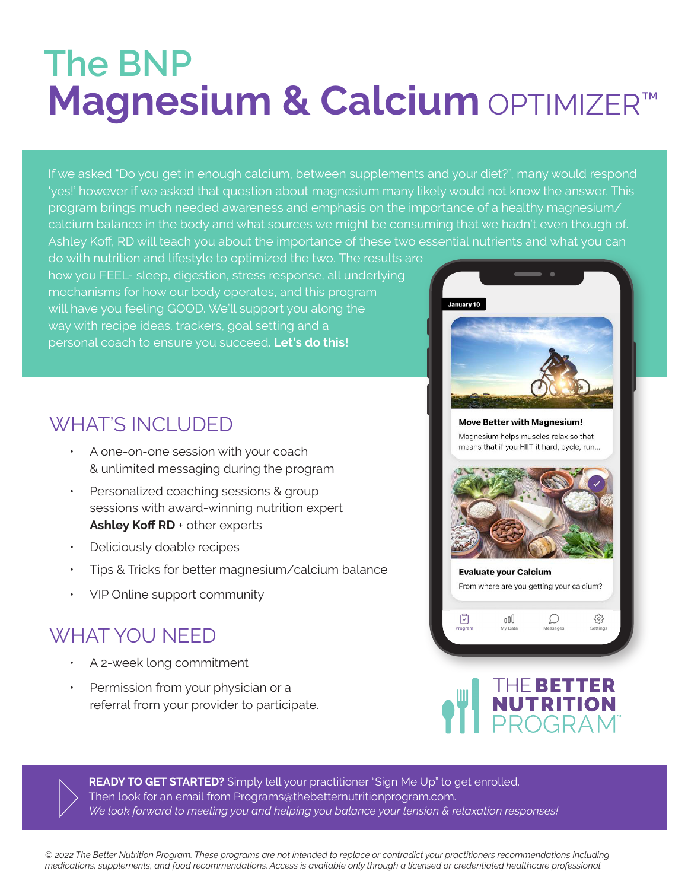## **Magnesium & Calcium OPTIMIZER™ The BNP**

If we asked "Do you get in enough calcium, between supplements and your diet?", many would respond 'yes!' however if we asked that question about magnesium many likely would not know the answer. This program brings much needed awareness and emphasis on the importance of a healthy magnesium/ calcium balance in the body and what sources we might be consuming that we hadn't even though of. Ashley Koff, RD will teach you about the importance of these two essential nutrients and what you can

do with nutrition and lifestyle to optimized the two. The results are how you FEEL- sleep, digestion, stress response, all underlying mechanisms for how our body operates, and this program will have you feeling GOOD. We'll support you along the way with recipe ideas. trackers, goal setting and a personal coach to ensure you succeed. **Let's do this!**

## WHAT'S INCLUDED

- ƽ A one-on-one session with your coach & unlimited messaging during the program
- ƽ Personalized coaching sessions & group sessions with award-winning nutrition expert Ashley Koff RD + other experts
- ƽ Deliciously doable recipes
- Tips & Tricks for better magnesium/calcium balance
- ƽ VIP Online support community

## WHAT YOU NEED

- ƽ A 2-week long commitment
- Permission from your physician or a referral from your provider to participate.



**Move Better with Magnesium!** Magnesium helps muscles relax so that means that if you HIIT it hard, cycle, run...



**Evaluate your Calcium** From where are you getting your calcium?

 $\mathcal{D}$ 

ర్తి

nnn

My Data

Ū

## THE BETTER<br>NUTRITION<br>PROGRAM

**READY TO GET STARTED?** Simply tell your practitioner "Sign Me Up" to get enrolled. Then look for an email from Programs@thebetternutritionprogram.com. *We look forward to meeting you and helping you balance your tension & relaxation responses!* 

*© 2022 The Better Nutrition Program. These programs are not intended to replace or contradict your practitioners recommendations including medications, supplements, and food recommendations. Access is available only through a licensed or credentialed healthcare professional.*